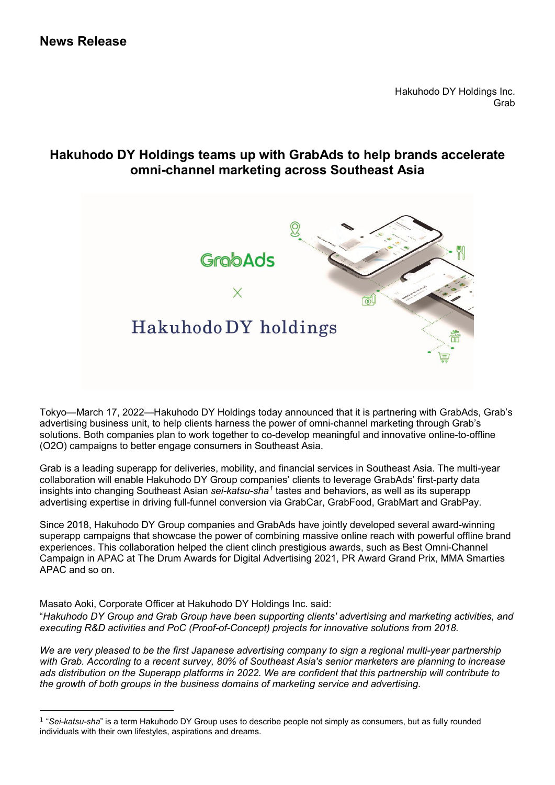Hakuhodo DY Holdings Inc. Grab

## **Hakuhodo DY Holdings teams up with GrabAds to help brands accelerate omni-channel marketing across Southeast Asia**



Tokyo—March 17, 2022—Hakuhodo DY Holdings today announced that it is partnering with GrabAds, Grab's advertising business unit, to help clients harness the power of omni-channel marketing through Grab's solutions. Both companies plan to work together to co-develop meaningful and innovative online-to-offline (O2O) campaigns to better engage consumers in Southeast Asia.

Grab is a leading superapp for deliveries, mobility, and financial services in Southeast Asia. The multi-year collaboration will enable Hakuhodo DY Group companies' clients to leverage GrabAds' first-party data insights into changing Southeast Asian *sei-katsu-sha[1](#page-0-0)* tastes and behaviors, as well as its superapp advertising expertise in driving full-funnel conversion via GrabCar, GrabFood, GrabMart and GrabPay.

Since 2018, Hakuhodo DY Group companies and GrabAds have jointly developed several award-winning superapp campaigns that showcase the power of combining massive online reach with powerful offline brand experiences. This collaboration helped the client clinch prestigious awards, such as Best Omni-Channel Campaign in APAC at The Drum Awards for Digital Advertising 2021, PR Award Grand Prix, MMA Smarties APAC and so on.

Masato Aoki, Corporate Officer at Hakuhodo DY Holdings Inc. said: "*Hakuhodo DY Group and Grab Group have been supporting clients' advertising and marketing activities, and executing R&D activities and PoC (Proof-of-Concept) projects for innovative solutions from 2018.* 

*We are very pleased to be the first Japanese advertising company to sign a regional multi-year partnership with Grab. According to a recent survey, 80% of Southeast Asia's senior marketers are planning to increase ads distribution on the Superapp platforms in 2022. We are confident that this partnership will contribute to the growth of both groups in the business domains of marketing service and advertising.* 

<span id="page-0-0"></span> <sup>1</sup> "*Sei-katsu-sha*" is a term Hakuhodo DY Group uses to describe people not simply as consumers, but as fully rounded individuals with their own lifestyles, aspirations and dreams.